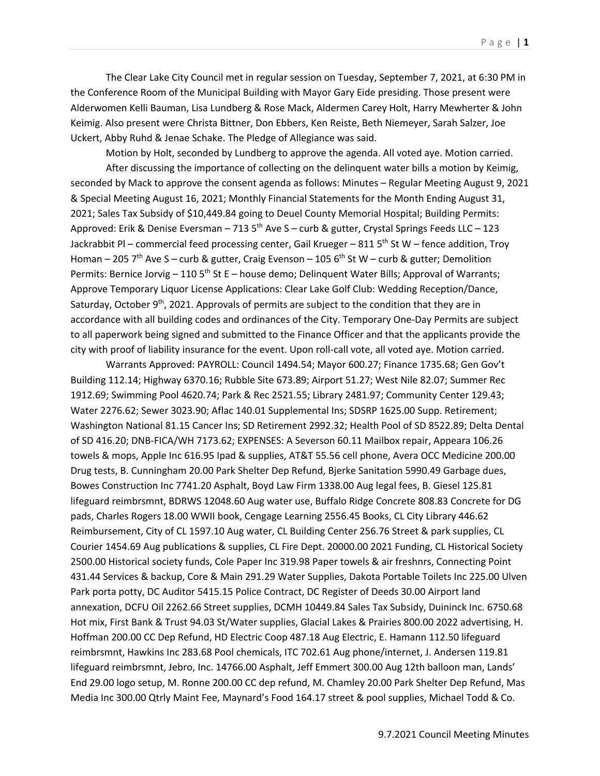The Clear Lake City Council met in regular session on Tuesday, September 7, 2021, at 6:30 PM in the Conference Room of the Municipal Building with Mayor Gary Eide presiding. Those present were Alderwomen Kelli Bauman, Lisa Lundberg & Rose Mack, Aldermen Carey Holt, Harry Mewherter & John Keimig. Also present were Christa Bittner, Don Ebbers, Ken Reiste, Beth Niemeyer, Sarah Salzer, Joe Uckert, Abby Ruhd & Jenae Schake. The Pledge of Allegiance was said.

Motion by Holt, seconded by Lundberg to approve the agenda. All voted aye. Motion carried.

After discussing the importance of collecting on the delinquent water bills a motion by Keimig, seconded by Mack to approve the consent agenda as follows: Minutes – Regular Meeting August 9, 2021 & Special Meeting August 16, 2021; Monthly Financial Statements for the Month Ending August 31, 2021; Sales Tax Subsidy of \$10,449.84 going to Deuel County Memorial Hospital; Building Permits: Approved: Erik & Denise Eversman – 713 5<sup>th</sup> Ave S – curb & gutter, Crystal Springs Feeds LLC – 123 Jackrabbit PI – commercial feed processing center, Gail Krueger – 811 5<sup>th</sup> St W – fence addition, Troy Homan – 205 7<sup>th</sup> Ave S – curb & gutter, Craig Evenson – 105 6<sup>th</sup> St W – curb & gutter; Demolition Permits: Bernice Jorvig – 110  $5<sup>th</sup>$  St E – house demo; Delinquent Water Bills; Approval of Warrants; Approve Temporary Liquor License Applications: Clear Lake Golf Club: Wedding Reception/Dance, Saturday, October  $9<sup>th</sup>$ , 2021. Approvals of permits are subject to the condition that they are in accordance with all building codes and ordinances of the City. Temporary One-Day Permits are subject to all paperwork being signed and submitted to the Finance Officer and that the applicants provide the city with proof of liability insurance for the event. Upon roll-call vote, all voted aye. Motion carried.

Warrants Approved: PAYROLL: Council 1494.54; Mayor 600.27; Finance 1735.68; Gen Gov't Building 112.14; Highway 6370.16; Rubble Site 673.89; Airport 51.27; West Nile 82.07; Summer Rec 1912.69; Swimming Pool 4620.74; Park & Rec 2521.55; Library 2481.97; Community Center 129.43; Water 2276.62; Sewer 3023.90; Aflac 140.01 Supplemental Ins; SDSRP 1625.00 Supp. Retirement; Washington National 81.15 Cancer Ins; SD Retirement 2992.32; Health Pool of SD 8522.89; Delta Dental of SD 416.20; DNB-FICA/WH 7173.62; EXPENSES: A Severson 60.11 Mailbox repair, Appeara 106.26 towels & mops, Apple Inc 616.95 Ipad & supplies, AT&T 55.56 cell phone, Avera OCC Medicine 200.00 Drug tests, B. Cunningham 20.00 Park Shelter Dep Refund, Bjerke Sanitation 5990.49 Garbage dues, Bowes Construction Inc 7741.20 Asphalt, Boyd Law Firm 1338.00 Aug legal fees, B. Giesel 125.81 lifeguard reimbrsmnt, BDRWS 12048.60 Aug water use, Buffalo Ridge Concrete 808.83 Concrete for DG pads, Charles Rogers 18.00 WWII book, Cengage Learning 2556.45 Books, CL City Library 446.62 Reimbursement, City of CL 1597.10 Aug water, CL Building Center 256.76 Street & park supplies, CL Courier 1454.69 Aug publications & supplies, CL Fire Dept. 20000.00 2021 Funding, CL Historical Society 2500.00 Historical society funds, Cole Paper Inc 319.98 Paper towels & air freshnrs, Connecting Point 431.44 Services & backup, Core & Main 291.29 Water Supplies, Dakota Portable Toilets Inc 225.00 Ulven Park porta potty, DC Auditor 5415.15 Police Contract, DC Register of Deeds 30.00 Airport land annexation, DCFU Oil 2262.66 Street supplies, DCMH 10449.84 Sales Tax Subsidy, Duininck Inc. 6750.68 Hot mix, First Bank & Trust 94.03 St/Water supplies, Glacial Lakes & Prairies 800.00 2022 advertising, H. Hoffman 200.00 CC Dep Refund, HD Electric Coop 487.18 Aug Electric, E. Hamann 112.50 lifeguard reimbrsmnt, Hawkins Inc 283.68 Pool chemicals, ITC 702.61 Aug phone/internet, J. Andersen 119.81 lifeguard reimbrsmnt, Jebro, Inc. 14766.00 Asphalt, Jeff Emmert 300.00 Aug 12th balloon man, Lands' End 29.00 logo setup, M. Ronne 200.00 CC dep refund, M. Chamley 20.00 Park Shelter Dep Refund, Mas Media Inc 300.00 Qtrly Maint Fee, Maynard's Food 164.17 street & pool supplies, Michael Todd & Co.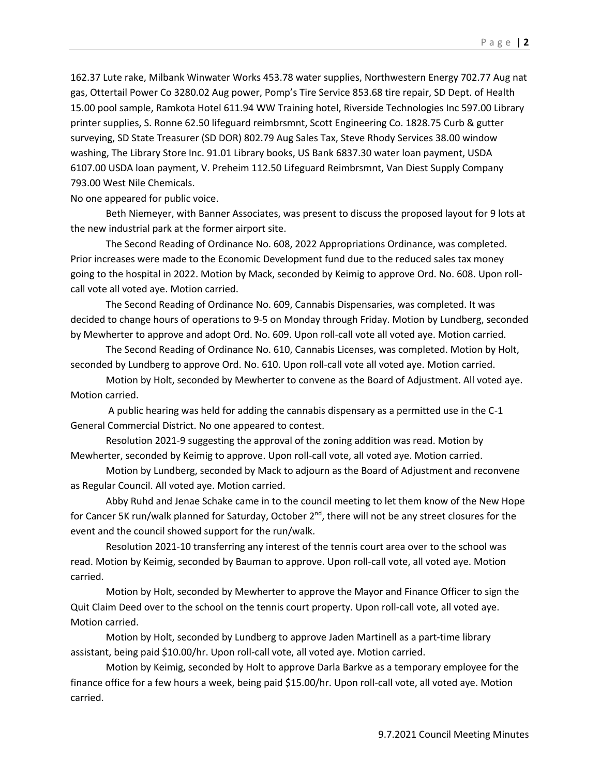162.37 Lute rake, Milbank Winwater Works 453.78 water supplies, Northwestern Energy 702.77 Aug nat gas, Ottertail Power Co 3280.02 Aug power, Pomp's Tire Service 853.68 tire repair, SD Dept. of Health 15.00 pool sample, Ramkota Hotel 611.94 WW Training hotel, Riverside Technologies Inc 597.00 Library printer supplies, S. Ronne 62.50 lifeguard reimbrsmnt, Scott Engineering Co. 1828.75 Curb & gutter surveying, SD State Treasurer (SD DOR) 802.79 Aug Sales Tax, Steve Rhody Services 38.00 window washing, The Library Store Inc. 91.01 Library books, US Bank 6837.30 water loan payment, USDA 6107.00 USDA loan payment, V. Preheim 112.50 Lifeguard Reimbrsmnt, Van Diest Supply Company 793.00 West Nile Chemicals.

No one appeared for public voice.

Beth Niemeyer, with Banner Associates, was present to discuss the proposed layout for 9 lots at the new industrial park at the former airport site.

The Second Reading of Ordinance No. 608, 2022 Appropriations Ordinance, was completed. Prior increases were made to the Economic Development fund due to the reduced sales tax money going to the hospital in 2022. Motion by Mack, seconded by Keimig to approve Ord. No. 608. Upon rollcall vote all voted aye. Motion carried.

The Second Reading of Ordinance No. 609, Cannabis Dispensaries, was completed. It was decided to change hours of operations to 9-5 on Monday through Friday. Motion by Lundberg, seconded by Mewherter to approve and adopt Ord. No. 609. Upon roll-call vote all voted aye. Motion carried.

The Second Reading of Ordinance No. 610, Cannabis Licenses, was completed. Motion by Holt, seconded by Lundberg to approve Ord. No. 610. Upon roll-call vote all voted aye. Motion carried.

Motion by Holt, seconded by Mewherter to convene as the Board of Adjustment. All voted aye. Motion carried.

A public hearing was held for adding the cannabis dispensary as a permitted use in the C-1 General Commercial District. No one appeared to contest.

Resolution 2021-9 suggesting the approval of the zoning addition was read. Motion by Mewherter, seconded by Keimig to approve. Upon roll-call vote, all voted aye. Motion carried.

Motion by Lundberg, seconded by Mack to adjourn as the Board of Adjustment and reconvene as Regular Council. All voted aye. Motion carried.

Abby Ruhd and Jenae Schake came in to the council meeting to let them know of the New Hope for Cancer 5K run/walk planned for Saturday, October 2<sup>nd</sup>, there will not be any street closures for the event and the council showed support for the run/walk.

Resolution 2021-10 transferring any interest of the tennis court area over to the school was read. Motion by Keimig, seconded by Bauman to approve. Upon roll-call vote, all voted aye. Motion carried.

Motion by Holt, seconded by Mewherter to approve the Mayor and Finance Officer to sign the Quit Claim Deed over to the school on the tennis court property. Upon roll-call vote, all voted aye. Motion carried.

Motion by Holt, seconded by Lundberg to approve Jaden Martinell as a part-time library assistant, being paid \$10.00/hr. Upon roll-call vote, all voted aye. Motion carried.

Motion by Keimig, seconded by Holt to approve Darla Barkve as a temporary employee for the finance office for a few hours a week, being paid \$15.00/hr. Upon roll-call vote, all voted aye. Motion carried.